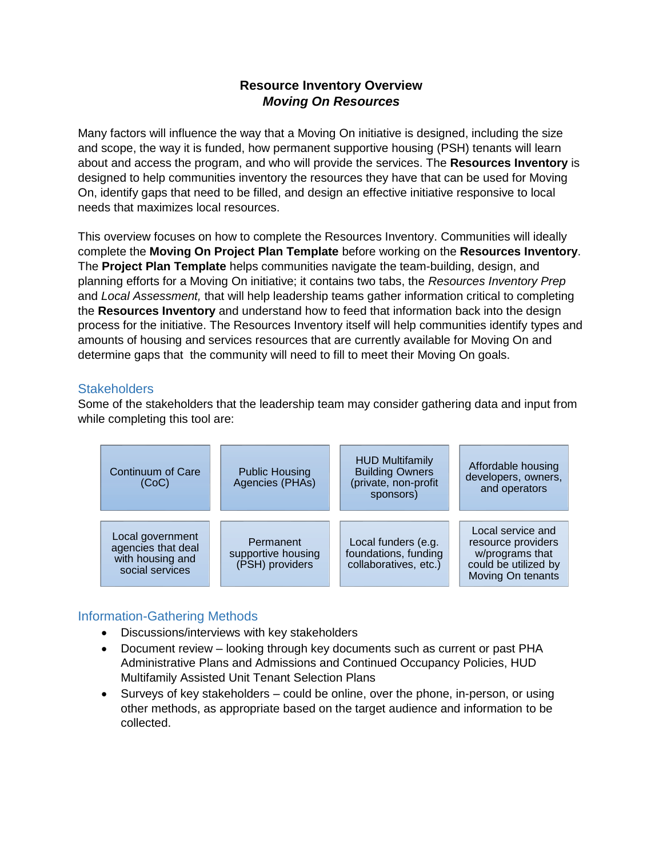## **Resource Inventory Overview** *Moving On Resources*

Many factors will influence the way that a Moving On initiative is designed, including the size and scope, the way it is funded, how permanent supportive housing (PSH) tenants will learn about and access the program, and who will provide the services. The **Resources Inventory** is designed to help communities inventory the resources they have that can be used for Moving On, identify gaps that need to be filled, and design an effective initiative responsive to local needs that maximizes local resources.

This overview focuses on how to complete the Resources Inventory. Communities will ideally complete the **Moving On Project Plan Template** before working on the **Resources Inventory**. The **Project Plan Template** helps communities navigate the team-building, design, and planning efforts for a Moving On initiative; it contains two tabs, the *Resources Inventory Prep*  and *Local Assessment,* that will help leadership teams gather information critical to completing the **Resources Inventory** and understand how to feed that information back into the design process for the initiative. The Resources Inventory itself will help communities identify types and amounts of housing and services resources that are currently available for Moving On and determine gaps that the community will need to fill to meet their Moving On goals.

## **Stakeholders**

Some of the stakeholders that the leadership team may consider gathering data and input from while completing this tool are:



## Information-Gathering Methods

- Discussions/interviews with key stakeholders
- Document review looking through key documents such as current or past PHA Administrative Plans and Admissions and Continued Occupancy Policies, HUD Multifamily Assisted Unit Tenant Selection Plans
- Surveys of key stakeholders could be online, over the phone, in-person, or using other methods, as appropriate based on the target audience and information to be collected.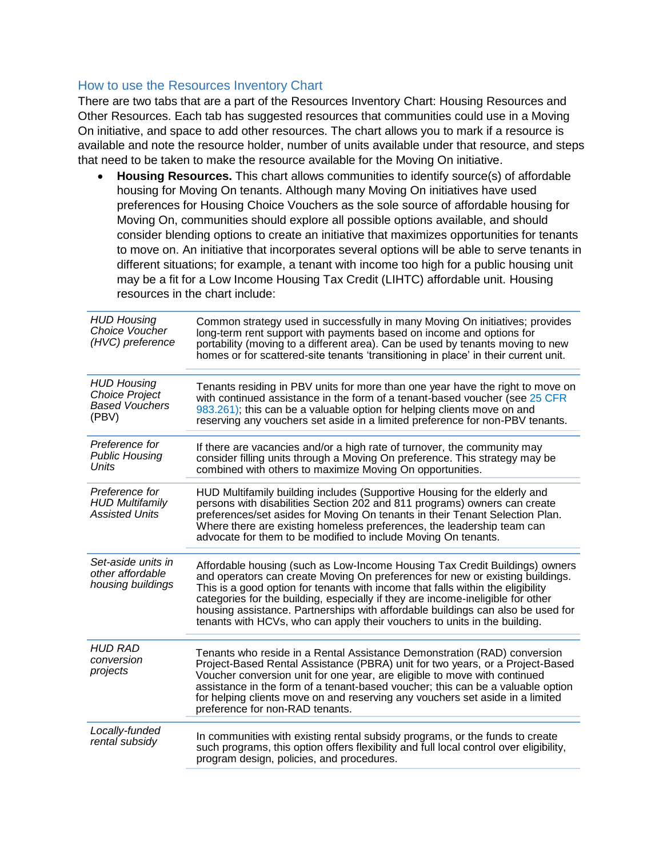## How to use the Resources Inventory Chart

There are two tabs that are a part of the Resources Inventory Chart: Housing Resources and Other Resources. Each tab has suggested resources that communities could use in a Moving On initiative, and space to add other resources. The chart allows you to mark if a resource is available and note the resource holder, number of units available under that resource, and steps that need to be taken to make the resource available for the Moving On initiative.

• **Housing Resources.** This chart allows communities to identify source(s) of affordable housing for Moving On tenants. Although many Moving On initiatives have used preferences for Housing Choice Vouchers as the sole source of affordable housing for Moving On, communities should explore all possible options available, and should consider blending options to create an initiative that maximizes opportunities for tenants to move on. An initiative that incorporates several options will be able to serve tenants in different situations; for example, a tenant with income too high for a public housing unit may be a fit for a Low Income Housing Tax Credit (LIHTC) affordable unit. Housing resources in the chart include:

| <b>HUD Housing</b><br>Choice Voucher<br>(HVC) preference                      | Common strategy used in successfully in many Moving On initiatives; provides<br>long-term rent support with payments based on income and options for<br>portability (moving to a different area). Can be used by tenants moving to new<br>homes or for scattered-site tenants 'transitioning in place' in their current unit.                                                                                                                                                                      |
|-------------------------------------------------------------------------------|----------------------------------------------------------------------------------------------------------------------------------------------------------------------------------------------------------------------------------------------------------------------------------------------------------------------------------------------------------------------------------------------------------------------------------------------------------------------------------------------------|
| <b>HUD Housing</b><br><b>Choice Project</b><br><b>Based Vouchers</b><br>(PBV) | Tenants residing in PBV units for more than one year have the right to move on<br>with continued assistance in the form of a tenant-based voucher (see 25 CFR<br>983.261); this can be a valuable option for helping clients move on and<br>reserving any vouchers set aside in a limited preference for non-PBV tenants.                                                                                                                                                                          |
| Preference for<br><b>Public Housing</b><br>Units                              | If there are vacancies and/or a high rate of turnover, the community may<br>consider filling units through a Moving On preference. This strategy may be<br>combined with others to maximize Moving On opportunities.                                                                                                                                                                                                                                                                               |
| Preference for<br><b>HUD Multifamily</b><br><b>Assisted Units</b>             | HUD Multifamily building includes (Supportive Housing for the elderly and<br>persons with disabilities Section 202 and 811 programs) owners can create<br>preferences/set asides for Moving On tenants in their Tenant Selection Plan.<br>Where there are existing homeless preferences, the leadership team can<br>advocate for them to be modified to include Moving On tenants.                                                                                                                 |
| Set-aside units in<br>other affordable<br>housing buildings                   | Affordable housing (such as Low-Income Housing Tax Credit Buildings) owners<br>and operators can create Moving On preferences for new or existing buildings.<br>This is a good option for tenants with income that falls within the eligibility<br>categories for the building, especially if they are income-ineligible for other<br>housing assistance. Partnerships with affordable buildings can also be used for<br>tenants with HCVs, who can apply their vouchers to units in the building. |
| <b>HUD RAD</b><br>conversion<br>projects                                      | Tenants who reside in a Rental Assistance Demonstration (RAD) conversion<br>Project-Based Rental Assistance (PBRA) unit for two years, or a Project-Based<br>Voucher conversion unit for one year, are eligible to move with continued<br>assistance in the form of a tenant-based voucher; this can be a valuable option<br>for helping clients move on and reserving any vouchers set aside in a limited<br>preference for non-RAD tenants.                                                      |
| Locally-funded<br>rental subsidy                                              | In communities with existing rental subsidy programs, or the funds to create<br>such programs, this option offers flexibility and full local control over eligibility,<br>program design, policies, and procedures.                                                                                                                                                                                                                                                                                |